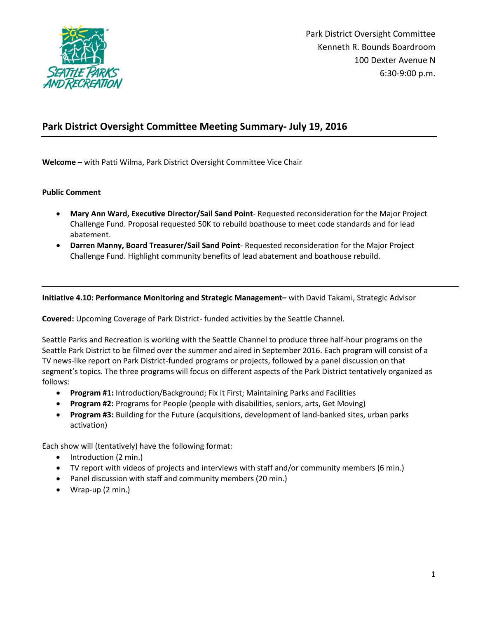

# **Park District Oversight Committee Meeting Summary- July 19, 2016**

**Welcome** – with Patti Wilma, Park District Oversight Committee Vice Chair

## **Public Comment**

- **Mary Ann Ward, Executive Director/Sail Sand Point** Requested reconsideration for the Major Project Challenge Fund. Proposal requested 50K to rebuild boathouse to meet code standards and for lead abatement.
- **Darren Manny, Board Treasurer/Sail Sand Point** Requested reconsideration for the Major Project Challenge Fund. Highlight community benefits of lead abatement and boathouse rebuild.

**Initiative 4.10: Performance Monitoring and Strategic Management–** with David Takami, Strategic Advisor

**Covered:** Upcoming Coverage of Park District- funded activities by the Seattle Channel.

Seattle Parks and Recreation is working with the Seattle Channel to produce three half-hour programs on the Seattle Park District to be filmed over the summer and aired in September 2016. Each program will consist of a TV news-like report on Park District-funded programs or projects, followed by a panel discussion on that segment's topics. The three programs will focus on different aspects of the Park District tentatively organized as follows:

- **Program #1:** Introduction/Background; Fix It First; Maintaining Parks and Facilities
- **Program #2:** Programs for People (people with disabilities, seniors, arts, Get Moving)
- **Program #3:** Building for the Future (acquisitions, development of land-banked sites, urban parks activation)

Each show will (tentatively) have the following format:

- Introduction (2 min.)
- TV report with videos of projects and interviews with staff and/or community members (6 min.)
- Panel discussion with staff and community members (20 min.)
- Wrap-up (2 min.)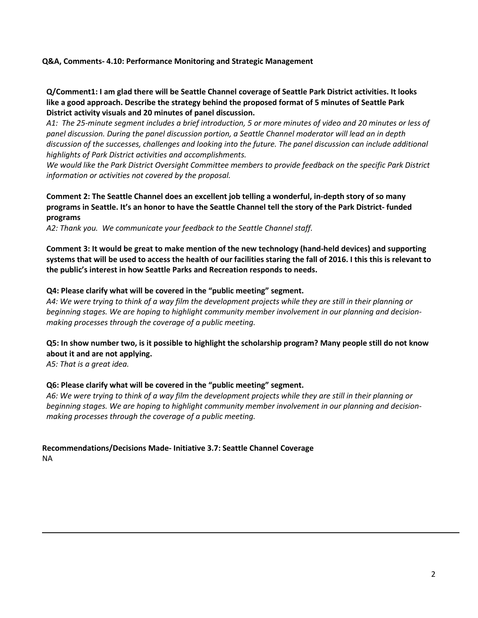## **Q&A, Comments- 4.10: Performance Monitoring and Strategic Management**

# **Q/Comment1: I am glad there will be Seattle Channel coverage of Seattle Park District activities. It looks like a good approach. Describe the strategy behind the proposed format of 5 minutes of Seattle Park District activity visuals and 20 minutes of panel discussion.**

*A1: The 25-minute segment includes a brief introduction, 5 or more minutes of video and 20 minutes or less of panel discussion. During the panel discussion portion, a Seattle Channel moderator will lead an in depth discussion of the successes, challenges and looking into the future. The panel discussion can include additional highlights of Park District activities and accomplishments.* 

*We would like the Park District Oversight Committee members to provide feedback on the specific Park District information or activities not covered by the proposal.*

# **Comment 2: The Seattle Channel does an excellent job telling a wonderful, in-depth story of so many programs in Seattle. It's an honor to have the Seattle Channel tell the story of the Park District- funded programs**

*A2: Thank you. We communicate your feedback to the Seattle Channel staff.* 

**Comment 3: It would be great to make mention of the new technology (hand-held devices) and supporting systems that will be used to access the health of our facilities staring the fall of 2016. I this this is relevant to the public's interest in how Seattle Parks and Recreation responds to needs.** 

### **Q4: Please clarify what will be covered in the "public meeting" segment.**

*A4: We were trying to think of a way film the development projects while they are still in their planning or beginning stages. We are hoping to highlight community member involvement in our planning and decisionmaking processes through the coverage of a public meeting.* 

# **Q5: In show number two, is it possible to highlight the scholarship program? Many people still do not know about it and are not applying.**

*A5: That is a great idea.* 

#### **Q6: Please clarify what will be covered in the "public meeting" segment.**

*A6: We were trying to think of a way film the development projects while they are still in their planning or beginning stages. We are hoping to highlight community member involvement in our planning and decisionmaking processes through the coverage of a public meeting.* 

**Recommendations/Decisions Made- Initiative 3.7: Seattle Channel Coverage** NA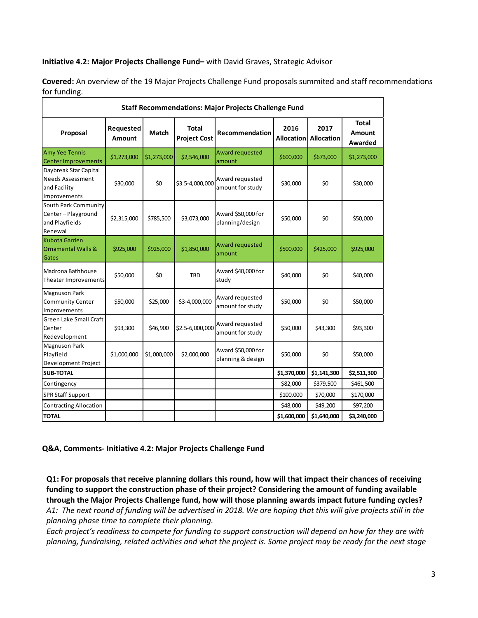# **Initiative 4.2: Major Projects Challenge Fund–** with David Graves, Strategic Advisor

**Covered:** An overview of the 19 Major Projects Challenge Fund proposals summited and staff recommendations for funding.

| <b>Staff Recommendations: Major Projects Challenge Fund</b>                      |                     |             |                                     |                                         |                           |                           |                                          |
|----------------------------------------------------------------------------------|---------------------|-------------|-------------------------------------|-----------------------------------------|---------------------------|---------------------------|------------------------------------------|
| Proposal                                                                         | Requested<br>Amount | Match       | <b>Total</b><br><b>Project Cost</b> | Recommendation                          | 2016<br><b>Allocation</b> | 2017<br><b>Allocation</b> | <b>Total</b><br><b>Amount</b><br>Awarded |
| <b>Amy Yee Tennis</b><br><b>Center Improvements</b>                              | \$1,273,000         | \$1,273,000 | \$2,546,000                         | Award requested<br>amount               | \$600,000                 | \$673,000                 | \$1,273,000                              |
| Daybreak Star Capital<br><b>Needs Assessment</b><br>and Facility<br>Improvements | \$30,000            | \$0         | \$3.5-4,000,000                     | Award requested<br>amount for study     | \$30,000                  | \$0                       | \$30,000                                 |
| South Park Community<br>Center-Playground<br>and Playfields<br>Renewal           | \$2,315,000         | \$785,500   | \$3,073,000                         | Award \$50,000 for<br>planning/design   | \$50,000                  | \$0                       | \$50,000                                 |
| <b>Kubota Garden</b><br>Ornamental Walls &<br>Gates                              | \$925,000           | \$925,000   | \$1,850,000                         | Award requested<br>amount               | \$500,000                 | \$425,000                 | \$925,000                                |
| Madrona Bathhouse<br>Theater Improvements                                        | \$50,000            | \$0         | <b>TBD</b>                          | Award \$40,000 for<br>study             | \$40,000                  | \$0                       | \$40,000                                 |
| <b>Magnuson Park</b><br><b>Community Center</b><br>Improvements                  | \$50,000            | \$25,000    | \$3-4,000,000                       | Award requested<br>amount for study     | \$50,000                  | \$0                       | \$50,000                                 |
| Green Lake Small Craft<br>Center<br>Redevelopment                                | \$93,300            | \$46,900    | \$2.5-6,000,000                     | Award requested<br>amount for study     | \$50,000                  | \$43,300                  | \$93,300                                 |
| <b>Magnuson Park</b><br>Playfield<br>Development Project                         | \$1,000,000         | \$1,000,000 | \$2,000,000                         | Award \$50,000 for<br>planning & design | \$50,000                  | \$0                       | \$50,000                                 |
| <b>SUB-TOTAL</b>                                                                 |                     |             |                                     |                                         | \$1,370,000               | \$1,141,300               | \$2,511,300                              |
| Contingency                                                                      |                     |             |                                     |                                         | \$82,000                  | \$379,500                 | \$461,500                                |
| <b>SPR Staff Support</b>                                                         |                     |             |                                     |                                         | \$100,000                 | \$70,000                  | \$170,000                                |
| <b>Contracting Allocation</b>                                                    |                     |             |                                     |                                         | \$48,000                  | \$49,200                  | \$97,200                                 |
| <b>TOTAL</b>                                                                     |                     |             |                                     |                                         | \$1,600,000               | \$1,640,000               | \$3,240,000                              |

**Q&A, Comments- Initiative 4.2: Major Projects Challenge Fund**

**Q1: For proposals that receive planning dollars this round, how will that impact their chances of receiving funding to support the construction phase of their project? Considering the amount of funding available through the Major Projects Challenge fund, how will those planning awards impact future funding cycles?**  *A1: The next round of funding will be advertised in 2018. We are hoping that this will give projects still in the planning phase time to complete their planning.*

*Each project's readiness to compete for funding to support construction will depend on how far they are with planning, fundraising, related activities and what the project is. Some project may be ready for the next stage*